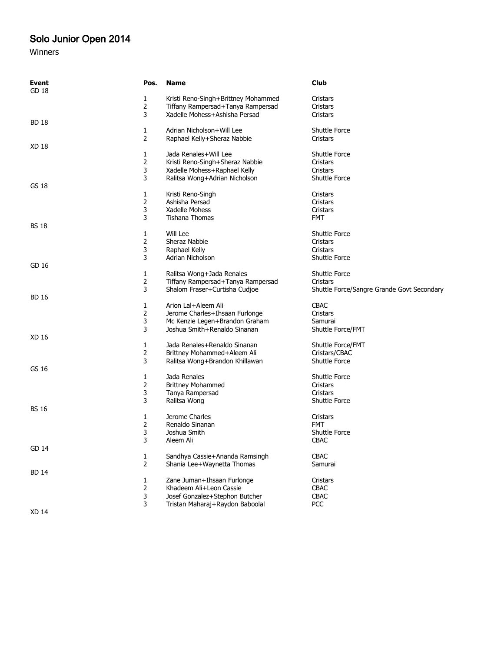## Solo Junior Open 2014

## Winners

| Event<br>GD 18 | Pos.           | <b>Name</b>                                           | <b>Club</b>                                |
|----------------|----------------|-------------------------------------------------------|--------------------------------------------|
|                | 1              | Kristi Reno-Singh+Brittney Mohammed                   | Cristars                                   |
|                | 2              | Tiffany Rampersad+Tanya Rampersad                     | Cristars                                   |
|                | 3              | Xadelle Mohess+Ashisha Persad                         | Cristars                                   |
| <b>BD 18</b>   |                |                                                       |                                            |
|                | 1              | Adrian Nicholson+Will Lee                             | <b>Shuttle Force</b>                       |
|                | 2              | Raphael Kelly+Sheraz Nabbie                           | Cristars                                   |
| XD 18          |                |                                                       |                                            |
|                | 1              | Jada Renales+Will Lee                                 | <b>Shuttle Force</b>                       |
|                | $\overline{2}$ | Kristi Reno-Singh+Sheraz Nabbie                       | Cristars                                   |
|                | 3              | Xadelle Mohess+Raphael Kelly                          | Cristars                                   |
|                | 3              | Ralitsa Wong+Adrian Nicholson                         | <b>Shuttle Force</b>                       |
| GS 18          |                |                                                       |                                            |
|                | 1              | Kristi Reno-Singh                                     | Cristars                                   |
|                | 2              | Ashisha Persad                                        | Cristars                                   |
|                | 3              | Xadelle Mohess                                        | Cristars                                   |
|                | 3              | Tishana Thomas                                        | <b>FMT</b>                                 |
| <b>BS 18</b>   |                |                                                       |                                            |
|                | 1              | Will Lee                                              | <b>Shuttle Force</b>                       |
|                | 2              | Sheraz Nabbie                                         | Cristars                                   |
|                | 3              | Raphael Kelly                                         | Cristars                                   |
|                | 3              | Adrian Nicholson                                      | <b>Shuttle Force</b>                       |
| GD 16          |                |                                                       |                                            |
|                | 1              | Ralitsa Wong+Jada Renales                             | <b>Shuttle Force</b>                       |
|                | 2              | Tiffany Rampersad+Tanya Rampersad                     | Cristars                                   |
|                | 3              | Shalom Fraser+Curtisha Cudjoe                         | Shuttle Force/Sangre Grande Govt Secondary |
| <b>BD 16</b>   |                |                                                       | <b>CBAC</b>                                |
|                | 1<br>2         | Arion Lal+Aleem Ali<br>Jerome Charles+Ihsaan Furlonge | Cristars                                   |
|                | 3              | Mc Kenzie Legen+Brandon Graham                        | Samurai                                    |
|                | 3              | Joshua Smith+Renaldo Sinanan                          | Shuttle Force/FMT                          |
| XD 16          |                |                                                       |                                            |
|                | 1              | Jada Renales+Renaldo Sinanan                          | Shuttle Force/FMT                          |
|                | 2              | Brittney Mohammed+Aleem Ali                           | Cristars/CBAC                              |
|                | 3              | Ralitsa Wong+Brandon Khillawan                        | <b>Shuttle Force</b>                       |
| GS 16          |                |                                                       |                                            |
|                | 1              | Jada Renales                                          | <b>Shuttle Force</b>                       |
|                | 2              | <b>Brittney Mohammed</b>                              | Cristars                                   |
|                | 3              | Tanya Rampersad                                       | Cristars                                   |
|                | 3              | Ralitsa Wong                                          | <b>Shuttle Force</b>                       |
| <b>BS 16</b>   |                |                                                       |                                            |
|                | 1              | Jerome Charles                                        | Cristars                                   |
|                | 2              | Renaldo Sinanan                                       | <b>FMT</b>                                 |
|                | 3              | Joshua Smith                                          | <b>Shuttle Force</b>                       |
|                | 3              | Aleem Ali                                             | <b>CBAC</b>                                |
| GD 14          |                |                                                       |                                            |
|                | 1              | Sandhya Cassie+Ananda Ramsingh                        | <b>CBAC</b>                                |
|                | $\overline{2}$ | Shania Lee+Waynetta Thomas                            | Samurai                                    |
| <b>BD 14</b>   |                |                                                       |                                            |
|                | 1              | Zane Juman+Ihsaan Furlonge                            | Cristars                                   |
|                | $\overline{2}$ | Khadeem Ali+Leon Cassie                               | <b>CBAC</b>                                |
|                | 3              | Josef Gonzalez+Stephon Butcher                        | <b>CBAC</b>                                |
|                | 3              | Tristan Maharaj+Raydon Baboolal                       | <b>PCC</b>                                 |
| <b>XD 14</b>   |                |                                                       |                                            |